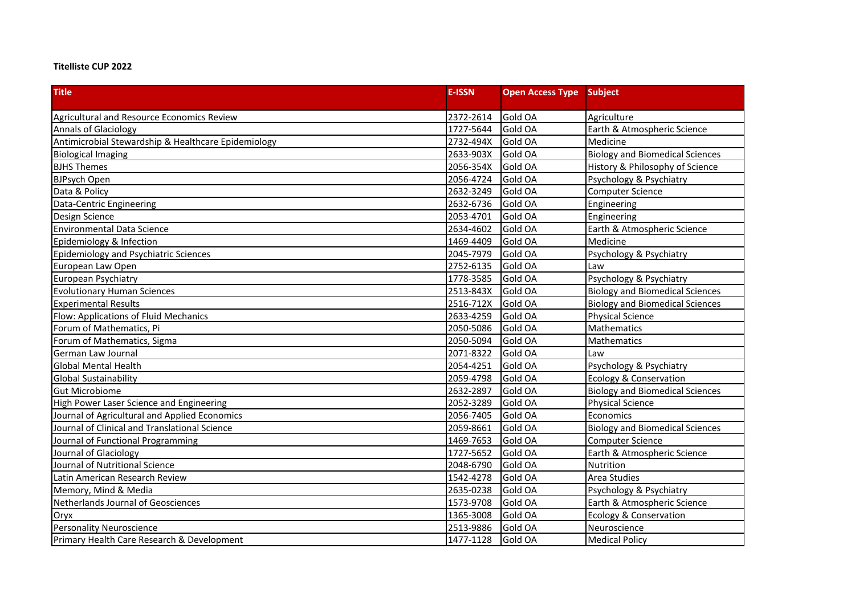## **Titelliste CUP 2022**

| <b>Title</b>                                        | <b>E-ISSN</b> | <b>Open Access Type</b> | Subject                                |
|-----------------------------------------------------|---------------|-------------------------|----------------------------------------|
| Agricultural and Resource Economics Review          | 2372-2614     | Gold OA                 | Agriculture                            |
| <b>Annals of Glaciology</b>                         | 1727-5644     | Gold OA                 | Earth & Atmospheric Science            |
| Antimicrobial Stewardship & Healthcare Epidemiology | 2732-494X     | Gold OA                 | Medicine                               |
| <b>Biological Imaging</b>                           | 2633-903X     | Gold OA                 | <b>Biology and Biomedical Sciences</b> |
| <b>BJHS Themes</b>                                  | 2056-354X     | Gold OA                 | History & Philosophy of Science        |
| <b>BJPsych Open</b>                                 | 2056-4724     | Gold OA                 | Psychology & Psychiatry                |
| Data & Policy                                       | 2632-3249     | Gold OA                 | <b>Computer Science</b>                |
| Data-Centric Engineering                            | 2632-6736     | Gold OA                 | Engineering                            |
| Design Science                                      | 2053-4701     | Gold OA                 | Engineering                            |
| <b>Environmental Data Science</b>                   | 2634-4602     | Gold OA                 | Earth & Atmospheric Science            |
| Epidemiology & Infection                            | 1469-4409     | Gold OA                 | Medicine                               |
| Epidemiology and Psychiatric Sciences               | 2045-7979     | Gold OA                 | Psychology & Psychiatry                |
| European Law Open                                   | 2752-6135     | Gold OA                 | Law                                    |
| European Psychiatry                                 | 1778-3585     | Gold OA                 | Psychology & Psychiatry                |
| <b>Evolutionary Human Sciences</b>                  | 2513-843X     | Gold OA                 | <b>Biology and Biomedical Sciences</b> |
| <b>Experimental Results</b>                         | 2516-712X     | Gold OA                 | <b>Biology and Biomedical Sciences</b> |
| Flow: Applications of Fluid Mechanics               | 2633-4259     | Gold OA                 | <b>Physical Science</b>                |
| Forum of Mathematics, Pi                            | 2050-5086     | Gold OA                 | Mathematics                            |
| Forum of Mathematics, Sigma                         | 2050-5094     | Gold OA                 | Mathematics                            |
| German Law Journal                                  | 2071-8322     | Gold OA                 | Law                                    |
| <b>Global Mental Health</b>                         | 2054-4251     | Gold OA                 | Psychology & Psychiatry                |
| <b>Global Sustainability</b>                        | 2059-4798     | Gold OA                 | Ecology & Conservation                 |
| <b>Gut Microbiome</b>                               | 2632-2897     | Gold OA                 | <b>Biology and Biomedical Sciences</b> |
| High Power Laser Science and Engineering            | 2052-3289     | Gold OA                 | <b>Physical Science</b>                |
| Journal of Agricultural and Applied Economics       | 2056-7405     | Gold OA                 | Economics                              |
| Journal of Clinical and Translational Science       | 2059-8661     | Gold OA                 | <b>Biology and Biomedical Sciences</b> |
| Journal of Functional Programming                   | 1469-7653     | Gold OA                 | <b>Computer Science</b>                |
| Journal of Glaciology                               | 1727-5652     | Gold OA                 | Earth & Atmospheric Science            |
| Journal of Nutritional Science                      | 2048-6790     | Gold OA                 | Nutrition                              |
| Latin American Research Review                      | 1542-4278     | Gold OA                 | Area Studies                           |
| Memory, Mind & Media                                | 2635-0238     | Gold OA                 | Psychology & Psychiatry                |
| Netherlands Journal of Geosciences                  | 1573-9708     | Gold OA                 | Earth & Atmospheric Science            |
| Oryx                                                | 1365-3008     | Gold OA                 | Ecology & Conservation                 |
| <b>Personality Neuroscience</b>                     | 2513-9886     | Gold OA                 | Neuroscience                           |
| Primary Health Care Research & Development          | 1477-1128     | Gold OA                 | <b>Medical Policy</b>                  |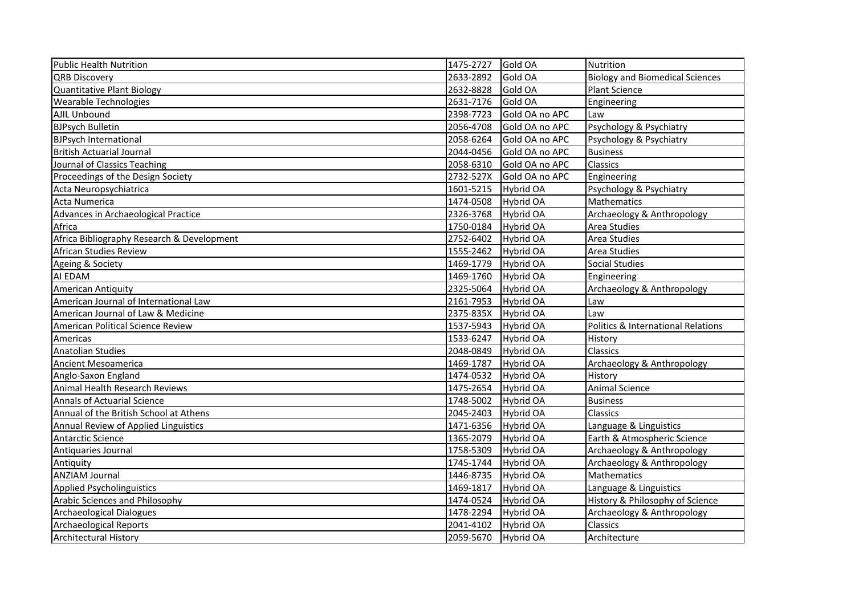| Public Health Nutrition                    | 1475-2727 | Gold OA          | <b>Nutrition</b>                       |
|--------------------------------------------|-----------|------------------|----------------------------------------|
| <b>QRB Discovery</b>                       | 2633-2892 | Gold OA          | <b>Biology and Biomedical Sciences</b> |
| Quantitative Plant Biology                 | 2632-8828 | Gold OA          | Plant Science                          |
| <b>Wearable Technologies</b>               | 2631-7176 | Gold OA          | Engineering                            |
| AJIL Unbound                               | 2398-7723 | Gold OA no APC   | Law                                    |
| <b>BJPsych Bulletin</b>                    | 2056-4708 | Gold OA no APC   | Psychology & Psychiatry                |
| <b>BJPsych International</b>               | 2058-6264 | Gold OA no APC   | Psychology & Psychiatry                |
| <b>British Actuarial Journal</b>           | 2044-0456 | Gold OA no APC   | <b>Business</b>                        |
| Journal of Classics Teaching               | 2058-6310 | Gold OA no APC   | Classics                               |
| Proceedings of the Design Society          | 2732-527X | Gold OA no APC   | Engineering                            |
| Acta Neuropsychiatrica                     | 1601-5215 | Hybrid OA        | Psychology & Psychiatry                |
| Acta Numerica                              | 1474-0508 | Hybrid OA        | <b>Mathematics</b>                     |
| Advances in Archaeological Practice        | 2326-3768 | Hybrid OA        | Archaeology & Anthropology             |
| Africa                                     | 1750-0184 | Hybrid OA        | Area Studies                           |
| Africa Bibliography Research & Development | 2752-6402 | Hybrid OA        | Area Studies                           |
| African Studies Review                     | 1555-2462 | Hybrid OA        | Area Studies                           |
| Ageing & Society                           | 1469-1779 | Hybrid OA        | <b>Social Studies</b>                  |
| AI EDAM                                    | 1469-1760 | <b>Hybrid OA</b> | Engineering                            |
| <b>American Antiquity</b>                  | 2325-5064 | Hybrid OA        | Archaeology & Anthropology             |
| American Journal of International Law      | 2161-7953 | Hybrid OA        | Law                                    |
| American Journal of Law & Medicine         | 2375-835X | <b>Hybrid OA</b> | Law                                    |
| American Political Science Review          | 1537-5943 | Hybrid OA        | Politics & International Relations     |
| Americas                                   | 1533-6247 | Hybrid OA        | History                                |
| <b>Anatolian Studies</b>                   | 2048-0849 | Hybrid OA        | Classics                               |
| <b>Ancient Mesoamerica</b>                 | 1469-1787 | Hybrid OA        | Archaeology & Anthropology             |
| Anglo-Saxon England                        | 1474-0532 | Hybrid OA        | History                                |
| Animal Health Research Reviews             | 1475-2654 | Hybrid OA        | <b>Animal Science</b>                  |
| <b>Annals of Actuarial Science</b>         | 1748-5002 | Hybrid OA        | <b>Business</b>                        |
| Annual of the British School at Athens     | 2045-2403 | Hybrid OA        | Classics                               |
| Annual Review of Applied Linguistics       | 1471-6356 | <b>Hybrid OA</b> | Language & Linguistics                 |
| Antarctic Science                          | 1365-2079 | Hybrid OA        | Earth & Atmospheric Science            |
| Antiquaries Journal                        | 1758-5309 | Hybrid OA        | Archaeology & Anthropology             |
| Antiquity                                  | 1745-1744 | Hybrid OA        | Archaeology & Anthropology             |
| <b>ANZIAM Journal</b>                      | 1446-8735 | Hybrid OA        | Mathematics                            |
| <b>Applied Psycholinguistics</b>           | 1469-1817 | Hybrid OA        | Language & Linguistics                 |
| <b>Arabic Sciences and Philosophy</b>      | 1474-0524 | Hybrid OA        | History & Philosophy of Science        |
| <b>Archaeological Dialogues</b>            | 1478-2294 | Hybrid OA        | Archaeology & Anthropology             |
| <b>Archaeological Reports</b>              | 2041-4102 | Hybrid OA        | Classics                               |
| <b>Architectural History</b>               | 2059-5670 | <b>Hybrid OA</b> | Architecture                           |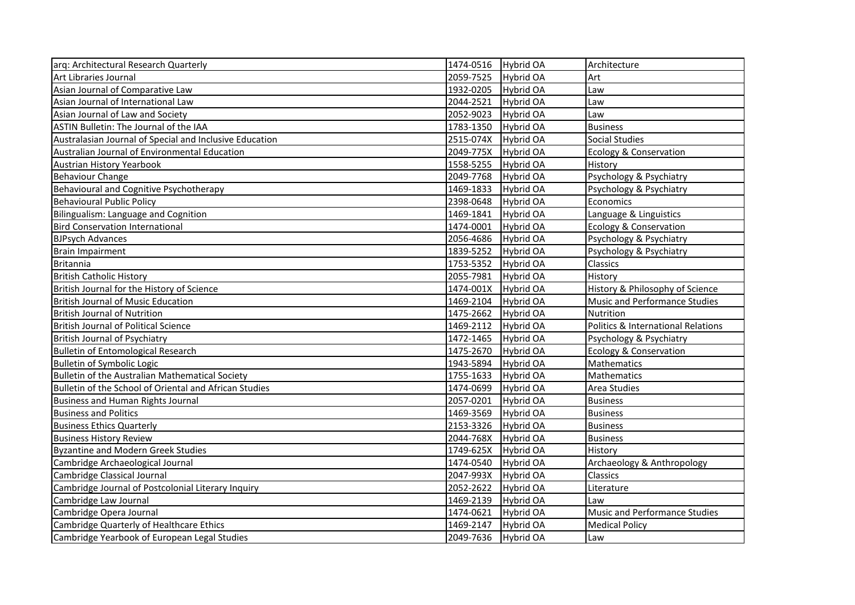| arq: Architectural Research Quarterly                   | 1474-0516 | Hybrid OA        | Architecture                                  |
|---------------------------------------------------------|-----------|------------------|-----------------------------------------------|
| Art Libraries Journal                                   | 2059-7525 | Hybrid OA        | Art                                           |
| Asian Journal of Comparative Law                        | 1932-0205 | <b>Hybrid OA</b> | Law                                           |
| Asian Journal of International Law                      | 2044-2521 | <b>Hybrid OA</b> | Law                                           |
| Asian Journal of Law and Society                        | 2052-9023 | Hybrid OA        | Law                                           |
| ASTIN Bulletin: The Journal of the IAA                  | 1783-1350 | <b>Hybrid OA</b> | <b>Business</b>                               |
| Australasian Journal of Special and Inclusive Education | 2515-074X | <b>Hybrid OA</b> | <b>Social Studies</b>                         |
| Australian Journal of Environmental Education           | 2049-775X | Hybrid OA        | Ecology & Conservation                        |
| <b>Austrian History Yearbook</b>                        | 1558-5255 | <b>Hybrid OA</b> | History                                       |
| <b>Behaviour Change</b>                                 | 2049-7768 | Hybrid OA        | Psychology & Psychiatry                       |
| Behavioural and Cognitive Psychotherapy                 | 1469-1833 | Hybrid OA        | Psychology & Psychiatry                       |
| <b>Behavioural Public Policy</b>                        | 2398-0648 | <b>Hybrid OA</b> | Economics                                     |
| Bilingualism: Language and Cognition                    | 1469-1841 | Hybrid OA        | Language & Linguistics                        |
| <b>Bird Conservation International</b>                  | 1474-0001 | Hybrid OA        | <b>Ecology &amp; Conservation</b>             |
| <b>BJPsych Advances</b>                                 | 2056-4686 | <b>Hybrid OA</b> | Psychology & Psychiatry                       |
| <b>Brain Impairment</b>                                 | 1839-5252 | <b>Hybrid OA</b> | Psychology & Psychiatry                       |
| <b>Britannia</b>                                        | 1753-5352 | Hybrid OA        | Classics                                      |
| <b>British Catholic History</b>                         | 2055-7981 | Hybrid OA        | History                                       |
| British Journal for the History of Science              | 1474-001X | <b>Hybrid OA</b> | History & Philosophy of Science               |
| <b>British Journal of Music Education</b>               | 1469-2104 | <b>Hybrid OA</b> | Music and Performance Studies                 |
| <b>British Journal of Nutrition</b>                     | 1475-2662 | <b>Hybrid OA</b> | Nutrition                                     |
| <b>British Journal of Political Science</b>             | 1469-2112 | Hybrid OA        | <b>Politics &amp; International Relations</b> |
| <b>British Journal of Psychiatry</b>                    | 1472-1465 | <b>Hybrid OA</b> | Psychology & Psychiatry                       |
| <b>Bulletin of Entomological Research</b>               | 1475-2670 | <b>Hybrid OA</b> | <b>Ecology &amp; Conservation</b>             |
| Bulletin of Symbolic Logic                              | 1943-5894 | Hybrid OA        | Mathematics                                   |
| Bulletin of the Australian Mathematical Society         | 1755-1633 | <b>Hybrid OA</b> | Mathematics                                   |
| Bulletin of the School of Oriental and African Studies  | 1474-0699 | Hybrid OA        | Area Studies                                  |
| <b>Business and Human Rights Journal</b>                | 2057-0201 | Hybrid OA        | <b>Business</b>                               |
| <b>Business and Politics</b>                            | 1469-3569 | <b>Hybrid OA</b> | <b>Business</b>                               |
| <b>Business Ethics Quarterly</b>                        | 2153-3326 | <b>Hybrid OA</b> | <b>Business</b>                               |
| <b>Business History Review</b>                          | 2044-768X | Hybrid OA        | <b>Business</b>                               |
| <b>Byzantine and Modern Greek Studies</b>               | 1749-625X | <b>Hybrid OA</b> | History                                       |
| Cambridge Archaeological Journal                        | 1474-0540 | Hybrid OA        | Archaeology & Anthropology                    |
| Cambridge Classical Journal                             | 2047-993X | Hybrid OA        | Classics                                      |
| Cambridge Journal of Postcolonial Literary Inquiry      | 2052-2622 | <b>Hybrid OA</b> | Literature                                    |
| Cambridge Law Journal                                   | 1469-2139 | <b>Hybrid OA</b> | Law                                           |
| Cambridge Opera Journal                                 | 1474-0621 | Hybrid OA        | Music and Performance Studies                 |
| Cambridge Quarterly of Healthcare Ethics                | 1469-2147 | Hybrid OA        | <b>Medical Policy</b>                         |
| Cambridge Yearbook of European Legal Studies            | 2049-7636 | Hybrid OA        | Law                                           |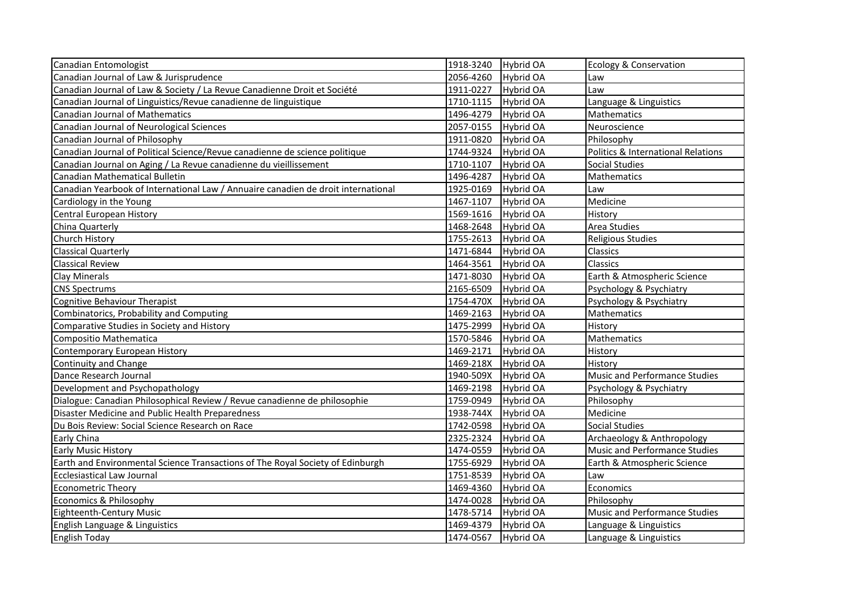| Canadian Entomologist                                                             | 1918-3240 | Hybrid OA        | Ecology & Conservation               |
|-----------------------------------------------------------------------------------|-----------|------------------|--------------------------------------|
| Canadian Journal of Law & Jurisprudence                                           | 2056-4260 | <b>Hybrid OA</b> | Law                                  |
| Canadian Journal of Law & Society / La Revue Canadienne Droit et Société          | 1911-0227 | Hybrid OA        | Law                                  |
| Canadian Journal of Linguistics/Revue canadienne de linguistique                  | 1710-1115 | Hybrid OA        | Language & Linguistics               |
| Canadian Journal of Mathematics                                                   | 1496-4279 | Hybrid OA        | Mathematics                          |
| Canadian Journal of Neurological Sciences                                         | 2057-0155 | <b>Hybrid OA</b> | Neuroscience                         |
| Canadian Journal of Philosophy                                                    | 1911-0820 | <b>Hybrid OA</b> | Philosophy                           |
| Canadian Journal of Political Science/Revue canadienne de science politique       | 1744-9324 | Hybrid OA        | Politics & International Relations   |
| Canadian Journal on Aging / La Revue canadienne du vieillissement                 | 1710-1107 | Hybrid OA        | <b>Social Studies</b>                |
| Canadian Mathematical Bulletin                                                    | 1496-4287 | <b>Hybrid OA</b> | Mathematics                          |
| Canadian Yearbook of International Law / Annuaire canadien de droit international | 1925-0169 | Hybrid OA        | Law                                  |
| Cardiology in the Young                                                           | 1467-1107 | Hybrid OA        | Medicine                             |
| Central European History                                                          | 1569-1616 | <b>Hybrid OA</b> | History                              |
| China Quarterly                                                                   | 1468-2648 | Hybrid OA        | Area Studies                         |
| Church History                                                                    | 1755-2613 | Hybrid OA        | <b>Religious Studies</b>             |
| <b>Classical Quarterly</b>                                                        | 1471-6844 | <b>Hybrid OA</b> | Classics                             |
| <b>Classical Review</b>                                                           | 1464-3561 | Hybrid OA        | Classics                             |
| Clay Minerals                                                                     | 1471-8030 | Hybrid OA        | Earth & Atmospheric Science          |
| <b>CNS Spectrums</b>                                                              | 2165-6509 | <b>Hybrid OA</b> | Psychology & Psychiatry              |
| Cognitive Behaviour Therapist                                                     | 1754-470X | <b>Hybrid OA</b> | Psychology & Psychiatry              |
| Combinatorics, Probability and Computing                                          | 1469-2163 | Hybrid OA        | Mathematics                          |
| Comparative Studies in Society and History                                        | 1475-2999 | <b>Hybrid OA</b> | History                              |
| Compositio Mathematica                                                            | 1570-5846 | Hybrid OA        | Mathematics                          |
| Contemporary European History                                                     | 1469-2171 | Hybrid OA        | History                              |
| Continuity and Change                                                             | 1469-218X | Hybrid OA        | History                              |
| Dance Research Journal                                                            | 1940-509X | Hybrid OA        | <b>Music and Performance Studies</b> |
| Development and Psychopathology                                                   | 1469-2198 | Hybrid OA        | Psychology & Psychiatry              |
| Dialogue: Canadian Philosophical Review / Revue canadienne de philosophie         | 1759-0949 | <b>Hybrid OA</b> | Philosophy                           |
| Disaster Medicine and Public Health Preparedness                                  | 1938-744X | Hybrid OA        | Medicine                             |
| Du Bois Review: Social Science Research on Race                                   | 1742-0598 | <b>Hybrid OA</b> | Social Studies                       |
| Early China                                                                       | 2325-2324 | <b>Hybrid OA</b> | Archaeology & Anthropology           |
| <b>Early Music History</b>                                                        | 1474-0559 | Hybrid OA        | Music and Performance Studies        |
| Earth and Environmental Science Transactions of The Royal Society of Edinburgh    | 1755-6929 | <b>Hybrid OA</b> | Earth & Atmospheric Science          |
| Ecclesiastical Law Journal                                                        | 1751-8539 | <b>Hybrid OA</b> | Law                                  |
| <b>Econometric Theory</b>                                                         | 1469-4360 | Hybrid OA        | Economics                            |
| Economics & Philosophy                                                            | 1474-0028 | Hybrid OA        | Philosophy                           |
| <b>Eighteenth-Century Music</b>                                                   | 1478-5714 | <b>Hybrid OA</b> | Music and Performance Studies        |
| English Language & Linguistics                                                    | 1469-4379 | Hybrid OA        | Language & Linguistics               |
| <b>English Today</b>                                                              |           | Hybrid OA        | Language & Linguistics               |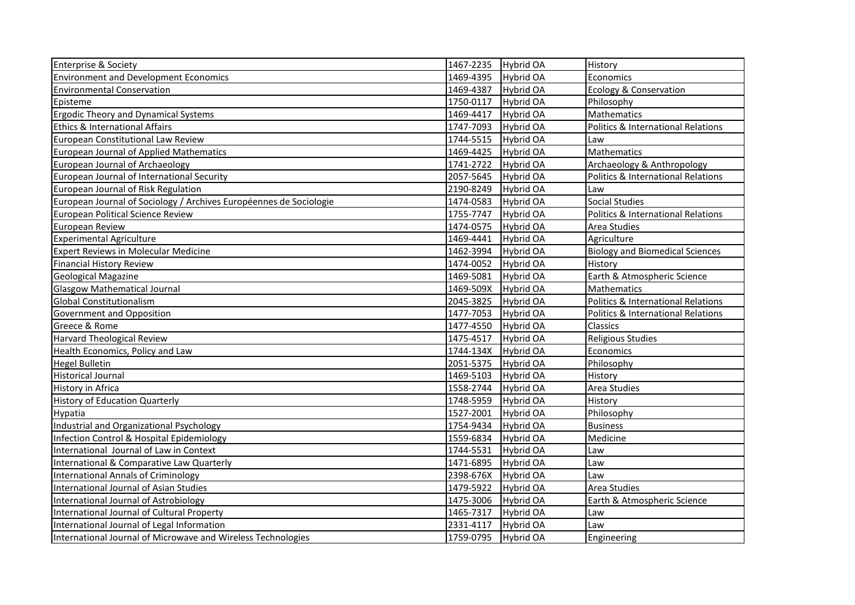| <b>Enterprise &amp; Society</b>                                    | 1467-2235<br><b>Hybrid OA</b> | History                                       |
|--------------------------------------------------------------------|-------------------------------|-----------------------------------------------|
| <b>Environment and Development Economics</b>                       | 1469-4395<br><b>Hybrid OA</b> | Economics                                     |
| <b>Environmental Conservation</b>                                  | 1469-4387<br><b>Hybrid OA</b> | <b>Ecology &amp; Conservation</b>             |
| Episteme                                                           | 1750-0117<br>Hybrid OA        | Philosophy                                    |
| <b>Ergodic Theory and Dynamical Systems</b>                        | 1469-4417<br>Hybrid OA        | Mathematics                                   |
| Ethics & International Affairs                                     | 1747-7093<br><b>Hybrid OA</b> | <b>Politics &amp; International Relations</b> |
| European Constitutional Law Review                                 | 1744-5515<br>Hybrid OA        | Law                                           |
| <b>European Journal of Applied Mathematics</b>                     | 1469-4425<br><b>Hybrid OA</b> | Mathematics                                   |
| European Journal of Archaeology                                    | 1741-2722<br><b>Hybrid OA</b> | Archaeology & Anthropology                    |
| European Journal of International Security                         | 2057-5645<br>Hybrid OA        | <b>Politics &amp; International Relations</b> |
| European Journal of Risk Regulation                                | 2190-8249<br><b>Hybrid OA</b> | Law                                           |
| European Journal of Sociology / Archives Européennes de Sociologie | 1474-0583<br><b>Hybrid OA</b> | <b>Social Studies</b>                         |
| <b>European Political Science Review</b>                           | 1755-7747<br><b>Hybrid OA</b> | <b>Politics &amp; International Relations</b> |
| European Review                                                    | 1474-0575<br>Hybrid OA        | Area Studies                                  |
| <b>Experimental Agriculture</b>                                    | 1469-4441<br>Hybrid OA        | Agriculture                                   |
| <b>Expert Reviews in Molecular Medicine</b>                        | 1462-3994<br>Hybrid OA        | <b>Biology and Biomedical Sciences</b>        |
| <b>Financial History Review</b>                                    | Hybrid OA<br>1474-0052        | History                                       |
| <b>Geological Magazine</b>                                         | 1469-5081<br>Hybrid OA        | Earth & Atmospheric Science                   |
| <b>Glasgow Mathematical Journal</b>                                | 1469-509X<br><b>Hybrid OA</b> | Mathematics                                   |
| <b>Global Constitutionalism</b>                                    | <b>Hybrid OA</b><br>2045-3825 | <b>Politics &amp; International Relations</b> |
| Government and Opposition                                          | 1477-7053<br>Hybrid OA        | <b>Politics &amp; International Relations</b> |
| Greece & Rome                                                      | 1477-4550<br><b>Hybrid OA</b> | Classics                                      |
| <b>Harvard Theological Review</b>                                  | 1475-4517<br>Hybrid OA        | Religious Studies                             |
| Health Economics, Policy and Law                                   | 1744-134X<br>Hybrid OA        | Economics                                     |
| <b>Hegel Bulletin</b>                                              | 2051-5375<br><b>Hybrid OA</b> | Philosophy                                    |
| <b>Historical Journal</b>                                          | 1469-5103<br><b>Hybrid OA</b> | History                                       |
| History in Africa                                                  | 1558-2744<br><b>Hybrid OA</b> | Area Studies                                  |
| <b>History of Education Quarterly</b>                              | 1748-5959<br><b>Hybrid OA</b> | History                                       |
| Hypatia                                                            | 1527-2001<br>Hybrid OA        | Philosophy                                    |
| Industrial and Organizational Psychology                           | 1754-9434<br><b>Hybrid OA</b> | <b>Business</b>                               |
| Infection Control & Hospital Epidemiology                          | 1559-6834<br><b>Hybrid OA</b> | Medicine                                      |
| International Journal of Law in Context                            | 1744-5531<br>Hybrid OA        | Law                                           |
| International & Comparative Law Quarterly                          | 1471-6895<br><b>Hybrid OA</b> | Law                                           |
| <b>International Annals of Criminology</b>                         | 2398-676X<br><b>Hybrid OA</b> | Law                                           |
| International Journal of Asian Studies                             | 1479-5922<br>Hybrid OA        | Area Studies                                  |
| International Journal of Astrobiology                              | 1475-3006<br><b>Hybrid OA</b> | Earth & Atmospheric Science                   |
| International Journal of Cultural Property                         | 1465-7317<br>Hybrid OA        | Law                                           |
| International Journal of Legal Information                         | 2331-4117<br><b>Hybrid OA</b> | Law                                           |
| International Journal of Microwave and Wireless Technologies       | 1759-0795<br><b>Hybrid OA</b> | Engineering                                   |
|                                                                    |                               |                                               |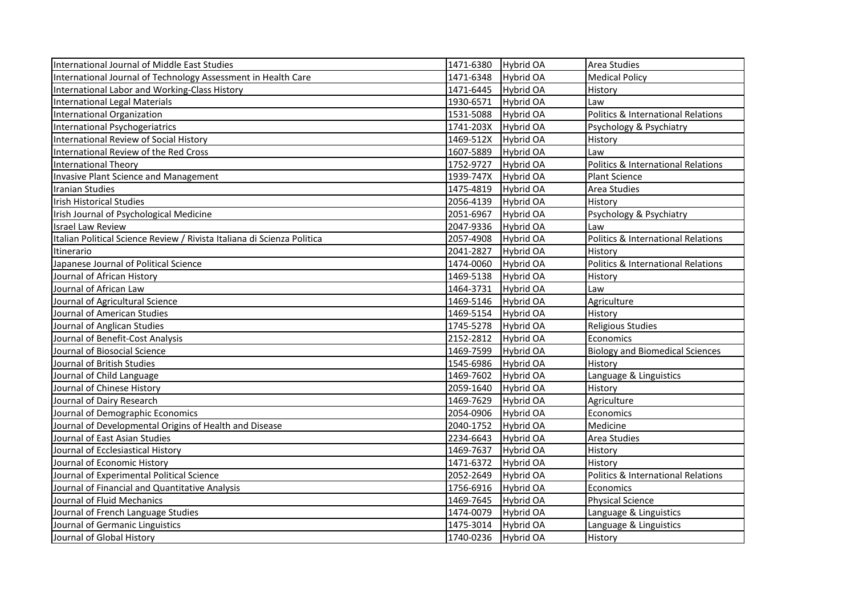| International Journal of Middle East Studies                            | 1471-6380<br>Hybrid OA        | Area Studies                                  |
|-------------------------------------------------------------------------|-------------------------------|-----------------------------------------------|
| International Journal of Technology Assessment in Health Care           | 1471-6348<br>Hybrid OA        | <b>Medical Policy</b>                         |
| International Labor and Working-Class History                           | 1471-6445<br>Hybrid OA        | History                                       |
| <b>International Legal Materials</b>                                    | 1930-6571<br><b>Hybrid OA</b> | Law                                           |
| <b>International Organization</b>                                       | 1531-5088<br><b>Hybrid OA</b> | Politics & International Relations            |
| <b>International Psychogeriatrics</b>                                   | 1741-203X<br>Hybrid OA        | Psychology & Psychiatry                       |
| International Review of Social History                                  | 1469-512X<br><b>Hybrid OA</b> | History                                       |
| International Review of the Red Cross                                   | 1607-5889<br>Hybrid OA        | Law                                           |
| <b>International Theory</b>                                             | 1752-9727<br><b>Hybrid OA</b> | Politics & International Relations            |
| <b>Invasive Plant Science and Management</b>                            | 1939-747X<br><b>Hybrid OA</b> | <b>Plant Science</b>                          |
| <b>Iranian Studies</b>                                                  | 1475-4819<br><b>Hybrid OA</b> | Area Studies                                  |
| <b>Irish Historical Studies</b>                                         | 2056-4139<br><b>Hybrid OA</b> | History                                       |
| Irish Journal of Psychological Medicine                                 | 2051-6967<br>Hybrid OA        | Psychology & Psychiatry                       |
| <b>Israel Law Review</b>                                                | 2047-9336<br>Hybrid OA        | Law                                           |
| Italian Political Science Review / Rivista Italiana di Scienza Politica | 2057-4908<br>Hybrid OA        | Politics & International Relations            |
| Itinerario                                                              | 2041-2827<br>Hybrid OA        | History                                       |
| Japanese Journal of Political Science                                   | 1474-0060<br><b>Hybrid OA</b> | <b>Politics &amp; International Relations</b> |
| Journal of African History                                              | 1469-5138<br>Hybrid OA        | History                                       |
| Journal of African Law                                                  | 1464-3731<br><b>Hybrid OA</b> | Law                                           |
| Journal of Agricultural Science                                         | 1469-5146<br><b>Hybrid OA</b> | Agriculture                                   |
| Journal of American Studies                                             | 1469-5154<br><b>Hybrid OA</b> | History                                       |
| Journal of Anglican Studies                                             | 1745-5278<br><b>Hybrid OA</b> | <b>Religious Studies</b>                      |
| Journal of Benefit-Cost Analysis                                        | 2152-2812<br>Hybrid OA        | Economics                                     |
| Journal of Biosocial Science                                            | 1469-7599<br><b>Hybrid OA</b> | <b>Biology and Biomedical Sciences</b>        |
| Journal of British Studies                                              | 1545-6986<br>Hybrid OA        | <b>History</b>                                |
| Journal of Child Language                                               | 1469-7602<br>Hybrid OA        | Language & Linguistics                        |
| Journal of Chinese History                                              | 2059-1640<br><b>Hybrid OA</b> | History                                       |
| Journal of Dairy Research                                               | 1469-7629<br>Hybrid OA        | Agriculture                                   |
| Journal of Demographic Economics                                        | <b>Hybrid OA</b><br>2054-0906 | Economics                                     |
| Journal of Developmental Origins of Health and Disease                  | 2040-1752<br>Hybrid OA        | Medicine                                      |
| Journal of East Asian Studies                                           | 2234-6643<br>Hybrid OA        | Area Studies                                  |
| Journal of Ecclesiastical History                                       | 1469-7637<br>Hybrid OA        | History                                       |
| Journal of Economic History                                             | 1471-6372<br><b>Hybrid OA</b> | History                                       |
| Journal of Experimental Political Science                               | 2052-2649<br>Hybrid OA        | Politics & International Relations            |
| Journal of Financial and Quantitative Analysis                          | 1756-6916<br>Hybrid OA        | Economics                                     |
| Journal of Fluid Mechanics                                              | 1469-7645<br><b>Hybrid OA</b> | <b>Physical Science</b>                       |
| Journal of French Language Studies                                      | 1474-0079<br><b>Hybrid OA</b> | Language & Linguistics                        |
| Journal of Germanic Linguistics                                         | 1475-3014<br><b>Hybrid OA</b> | Language & Linguistics                        |
| Journal of Global History                                               | 1740-0236<br>Hybrid OA        | History                                       |
|                                                                         |                               |                                               |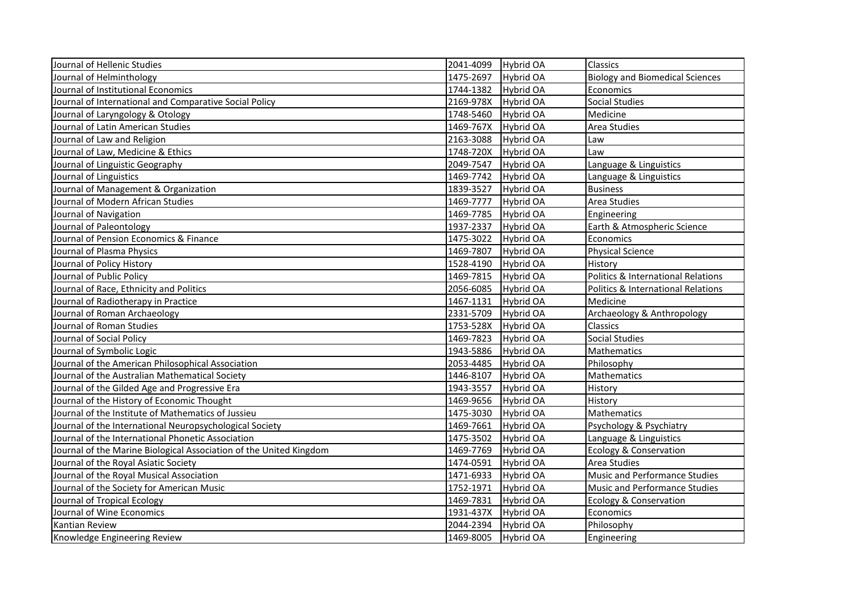| Journal of Hellenic Studies                                        | 2041-4099 | <b>Hybrid OA</b> | Classics                                      |
|--------------------------------------------------------------------|-----------|------------------|-----------------------------------------------|
| Journal of Helminthology                                           | 1475-2697 | Hybrid OA        | <b>Biology and Biomedical Sciences</b>        |
| Journal of Institutional Economics                                 | 1744-1382 | Hybrid OA        | Economics                                     |
| Journal of International and Comparative Social Policy             | 2169-978X | <b>Hybrid OA</b> | <b>Social Studies</b>                         |
| Journal of Laryngology & Otology                                   | 1748-5460 | Hybrid OA        | Medicine                                      |
| Journal of Latin American Studies                                  | 1469-767X | <b>Hybrid OA</b> | Area Studies                                  |
| Journal of Law and Religion                                        | 2163-3088 | Hybrid OA        | Law                                           |
| Journal of Law, Medicine & Ethics                                  | 1748-720X | <b>Hybrid OA</b> | Law                                           |
| Journal of Linguistic Geography                                    | 2049-7547 | <b>Hybrid OA</b> | Language & Linguistics                        |
| Journal of Linguistics                                             | 1469-7742 | Hybrid OA        | Language & Linguistics                        |
| Journal of Management & Organization                               | 1839-3527 | Hybrid OA        | <b>Business</b>                               |
| Journal of Modern African Studies                                  | 1469-7777 | <b>Hybrid OA</b> | Area Studies                                  |
| Journal of Navigation                                              | 1469-7785 | Hybrid OA        | Engineering                                   |
| Journal of Paleontology                                            | 1937-2337 | Hybrid OA        | Earth & Atmospheric Science                   |
| Journal of Pension Economics & Finance                             | 1475-3022 | Hybrid OA        | Economics                                     |
| Journal of Plasma Physics                                          | 1469-7807 | Hybrid OA        | <b>Physical Science</b>                       |
| Journal of Policy History                                          | 1528-4190 | Hybrid OA        | History                                       |
| Journal of Public Policy                                           | 1469-7815 | Hybrid OA        | Politics & International Relations            |
| Journal of Race, Ethnicity and Politics                            | 2056-6085 | Hybrid OA        | <b>Politics &amp; International Relations</b> |
| Journal of Radiotherapy in Practice                                | 1467-1131 | Hybrid OA        | Medicine                                      |
| Journal of Roman Archaeology                                       | 2331-5709 | <b>Hybrid OA</b> | Archaeology & Anthropology                    |
| Journal of Roman Studies                                           | 1753-528X | Hybrid OA        | Classics                                      |
| Journal of Social Policy                                           | 1469-7823 | <b>Hybrid OA</b> | <b>Social Studies</b>                         |
| Journal of Symbolic Logic                                          | 1943-5886 | <b>Hybrid OA</b> | Mathematics                                   |
| Journal of the American Philosophical Association                  | 2053-4485 | Hybrid OA        | Philosophy                                    |
| Journal of the Australian Mathematical Society                     | 1446-8107 | <b>Hybrid OA</b> | Mathematics                                   |
| Journal of the Gilded Age and Progressive Era                      | 1943-3557 | Hybrid OA        | History                                       |
| Journal of the History of Economic Thought                         | 1469-9656 | Hybrid OA        | History                                       |
| Journal of the Institute of Mathematics of Jussieu                 | 1475-3030 | Hybrid OA        | Mathematics                                   |
| Journal of the International Neuropsychological Society            | 1469-7661 | Hybrid OA        | Psychology & Psychiatry                       |
| Journal of the International Phonetic Association                  | 1475-3502 | Hybrid OA        | Language & Linguistics                        |
| Journal of the Marine Biological Association of the United Kingdom | 1469-7769 | Hybrid OA        | <b>Ecology &amp; Conservation</b>             |
| Journal of the Royal Asiatic Society                               | 1474-0591 | Hybrid OA        | Area Studies                                  |
| Journal of the Royal Musical Association                           | 1471-6933 | Hybrid OA        | Music and Performance Studies                 |
| Journal of the Society for American Music                          | 1752-1971 | <b>Hybrid OA</b> | <b>Music and Performance Studies</b>          |
| Journal of Tropical Ecology                                        | 1469-7831 | Hybrid OA        | <b>Ecology &amp; Conservation</b>             |
| Journal of Wine Economics                                          | 1931-437X | Hybrid OA        | Economics                                     |
| Kantian Review                                                     | 2044-2394 | Hybrid OA        | Philosophy                                    |
| Knowledge Engineering Review                                       | 1469-8005 | <b>Hybrid OA</b> | Engineering                                   |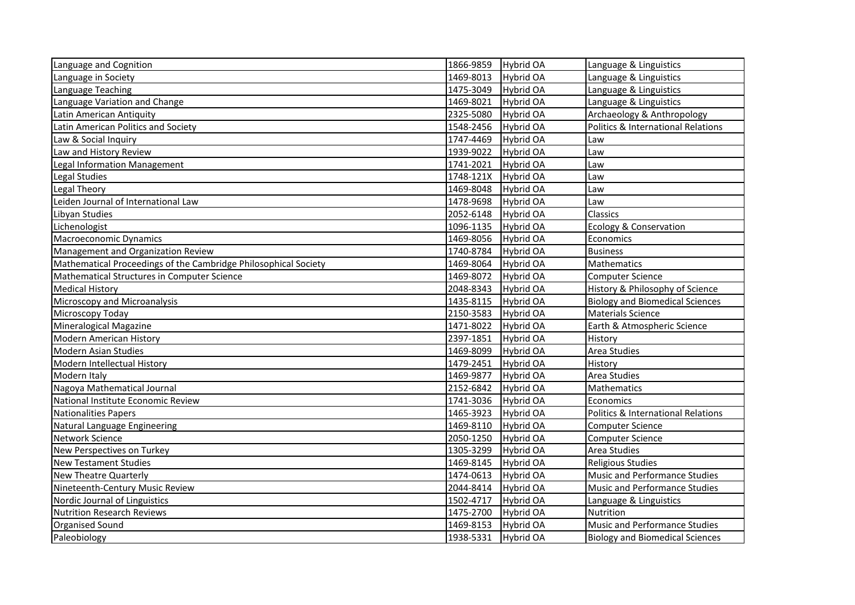| Language and Cognition                                          | 1866-9859 | <b>Hybrid OA</b> | Language & Linguistics                        |
|-----------------------------------------------------------------|-----------|------------------|-----------------------------------------------|
| Language in Society                                             | 1469-8013 | <b>Hybrid OA</b> | Language & Linguistics                        |
| Language Teaching                                               | 1475-3049 | Hybrid OA        | Language & Linguistics                        |
| Language Variation and Change                                   | 1469-8021 | <b>Hybrid OA</b> | Language & Linguistics                        |
| Latin American Antiquity                                        | 2325-5080 | Hybrid OA        | Archaeology & Anthropology                    |
| Latin American Politics and Society                             | 1548-2456 | Hybrid OA        | <b>Politics &amp; International Relations</b> |
| Law & Social Inquiry                                            | 1747-4469 | Hybrid OA        | Law                                           |
| Law and History Review                                          | 1939-9022 | <b>Hybrid OA</b> | Law                                           |
| <b>Legal Information Management</b>                             | 1741-2021 | <b>Hybrid OA</b> | Law                                           |
| Legal Studies                                                   | 1748-121X | <b>Hybrid OA</b> | Law                                           |
| Legal Theory                                                    | 1469-8048 | Hybrid OA        | Law                                           |
| Leiden Journal of International Law                             | 1478-9698 | <b>Hybrid OA</b> | Law                                           |
| Libyan Studies                                                  | 2052-6148 | <b>Hybrid OA</b> | Classics                                      |
| Lichenologist                                                   | 1096-1135 | <b>Hybrid OA</b> | <b>Ecology &amp; Conservation</b>             |
| Macroeconomic Dynamics                                          | 1469-8056 | <b>Hybrid OA</b> | Economics                                     |
| Management and Organization Review                              | 1740-8784 | <b>Hybrid OA</b> | <b>Business</b>                               |
| Mathematical Proceedings of the Cambridge Philosophical Society | 1469-8064 | <b>Hybrid OA</b> | Mathematics                                   |
| Mathematical Structures in Computer Science                     | 1469-8072 | Hybrid OA        | <b>Computer Science</b>                       |
| <b>Medical History</b>                                          | 2048-8343 | Hybrid OA        | History & Philosophy of Science               |
| Microscopy and Microanalysis                                    | 1435-8115 | Hybrid OA        | <b>Biology and Biomedical Sciences</b>        |
| Microscopy Today                                                | 2150-3583 | Hybrid OA        | <b>Materials Science</b>                      |
| Mineralogical Magazine                                          | 1471-8022 | Hybrid OA        | Earth & Atmospheric Science                   |
| <b>Modern American History</b>                                  | 2397-1851 | <b>Hybrid OA</b> | History                                       |
| <b>Modern Asian Studies</b>                                     | 1469-8099 | <b>Hybrid OA</b> | Area Studies                                  |
| Modern Intellectual History                                     | 1479-2451 | <b>Hybrid OA</b> | History                                       |
| Modern Italy                                                    | 1469-9877 | Hybrid OA        | Area Studies                                  |
| Nagoya Mathematical Journal                                     | 2152-6842 | <b>Hybrid OA</b> | Mathematics                                   |
| National Institute Economic Review                              | 1741-3036 | Hybrid OA        | Economics                                     |
| <b>Nationalities Papers</b>                                     | 1465-3923 | Hybrid OA        | Politics & International Relations            |
| Natural Language Engineering                                    | 1469-8110 | <b>Hybrid OA</b> | <b>Computer Science</b>                       |
| Network Science                                                 | 2050-1250 | Hybrid OA        | <b>Computer Science</b>                       |
| New Perspectives on Turkey                                      | 1305-3299 | <b>Hybrid OA</b> | Area Studies                                  |
| <b>New Testament Studies</b>                                    | 1469-8145 | <b>Hybrid OA</b> | <b>Religious Studies</b>                      |
| New Theatre Quarterly                                           | 1474-0613 | <b>Hybrid OA</b> | <b>Music and Performance Studies</b>          |
| Nineteenth-Century Music Review                                 | 2044-8414 | <b>Hybrid OA</b> | <b>Music and Performance Studies</b>          |
| Nordic Journal of Linguistics                                   | 1502-4717 | <b>Hybrid OA</b> | Language & Linguistics                        |
| <b>Nutrition Research Reviews</b>                               | 1475-2700 | <b>Hybrid OA</b> | Nutrition                                     |
| <b>Organised Sound</b>                                          | 1469-8153 | <b>Hybrid OA</b> | Music and Performance Studies                 |
| Paleobiology                                                    | 1938-5331 | Hybrid OA        | <b>Biology and Biomedical Sciences</b>        |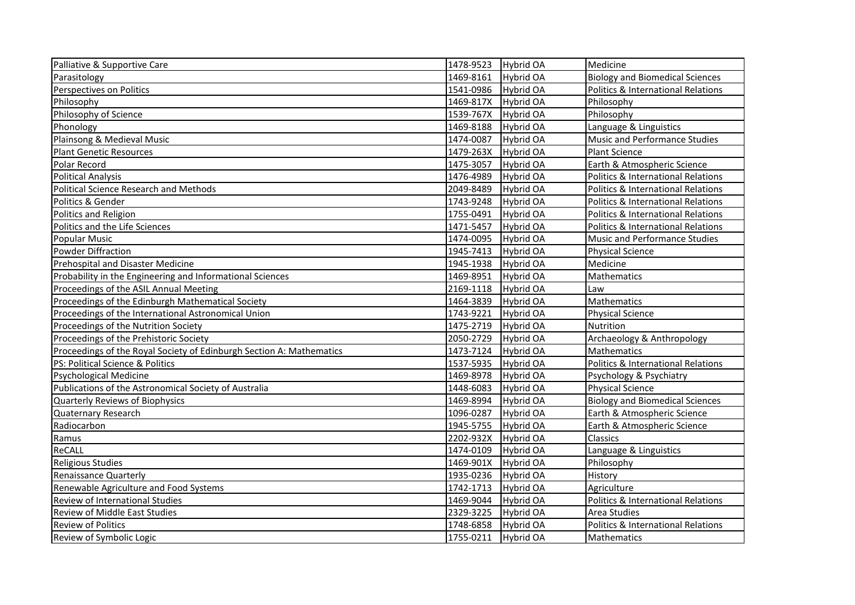| Palliative & Supportive Care                                         | 1478-9523<br>Hybrid OA        | Medicine                                      |
|----------------------------------------------------------------------|-------------------------------|-----------------------------------------------|
| Parasitology                                                         | 1469-8161<br><b>Hybrid OA</b> | <b>Biology and Biomedical Sciences</b>        |
| Perspectives on Politics                                             | 1541-0986<br>Hybrid OA        | Politics & International Relations            |
| Philosophy                                                           | 1469-817X<br>Hybrid OA        | Philosophy                                    |
| Philosophy of Science                                                | 1539-767X<br>Hybrid OA        | Philosophy                                    |
| Phonology                                                            | 1469-8188<br>Hybrid OA        | Language & Linguistics                        |
| Plainsong & Medieval Music                                           | 1474-0087<br><b>Hybrid OA</b> | Music and Performance Studies                 |
| <b>Plant Genetic Resources</b>                                       | 1479-263X<br>Hybrid OA        | <b>Plant Science</b>                          |
| Polar Record                                                         | 1475-3057<br><b>Hybrid OA</b> | Earth & Atmospheric Science                   |
| <b>Political Analysis</b>                                            | 1476-4989<br><b>Hybrid OA</b> | <b>Politics &amp; International Relations</b> |
| <b>Political Science Research and Methods</b>                        | Hybrid OA<br>2049-8489        | <b>Politics &amp; International Relations</b> |
| Politics & Gender                                                    | 1743-9248<br>Hybrid OA        | <b>Politics &amp; International Relations</b> |
| Politics and Religion                                                | 1755-0491<br><b>Hybrid OA</b> | <b>Politics &amp; International Relations</b> |
| Politics and the Life Sciences                                       | 1471-5457<br><b>Hybrid OA</b> | <b>Politics &amp; International Relations</b> |
| <b>Popular Music</b>                                                 | 1474-0095<br>Hybrid OA        | Music and Performance Studies                 |
| <b>Powder Diffraction</b>                                            | 1945-7413<br>Hybrid OA        | <b>Physical Science</b>                       |
| Prehospital and Disaster Medicine                                    | 1945-1938<br>Hybrid OA        | Medicine                                      |
| Probability in the Engineering and Informational Sciences            | 1469-8951<br><b>Hybrid OA</b> | Mathematics                                   |
| Proceedings of the ASIL Annual Meeting                               | 2169-1118<br><b>Hybrid OA</b> | Law                                           |
| Proceedings of the Edinburgh Mathematical Society                    | 1464-3839<br>Hybrid OA        | Mathematics                                   |
| Proceedings of the International Astronomical Union                  | 1743-9221<br><b>Hybrid OA</b> | <b>Physical Science</b>                       |
| Proceedings of the Nutrition Society                                 | 1475-2719<br><b>Hybrid OA</b> | Nutrition                                     |
| Proceedings of the Prehistoric Society                               | 2050-2729<br>Hybrid OA        | Archaeology & Anthropology                    |
| Proceedings of the Royal Society of Edinburgh Section A: Mathematics | 1473-7124<br>Hybrid OA        | Mathematics                                   |
| PS: Political Science & Politics                                     | 1537-5935<br>Hybrid OA        | Politics & International Relations            |
| <b>Psychological Medicine</b>                                        | <b>Hybrid OA</b><br>1469-8978 | Psychology & Psychiatry                       |
| Publications of the Astronomical Society of Australia                | 1448-6083<br>Hybrid OA        | <b>Physical Science</b>                       |
| Quarterly Reviews of Biophysics                                      | 1469-8994<br><b>Hybrid OA</b> | <b>Biology and Biomedical Sciences</b>        |
| Quaternary Research                                                  | Hybrid OA<br>1096-0287        | Earth & Atmospheric Science                   |
| Radiocarbon                                                          | 1945-5755<br>Hybrid OA        | Earth & Atmospheric Science                   |
| Ramus                                                                | 2202-932X<br>Hybrid OA        | Classics                                      |
| ReCALL                                                               | 1474-0109<br>Hybrid OA        | Language & Linguistics                        |
| <b>Religious Studies</b>                                             | 1469-901X<br>Hybrid OA        | Philosophy                                    |
| Renaissance Quarterly                                                | 1935-0236<br>Hybrid OA        | History                                       |
| Renewable Agriculture and Food Systems                               | 1742-1713<br>Hybrid OA        | Agriculture                                   |
| Review of International Studies                                      | 1469-9044<br>Hybrid OA        | Politics & International Relations            |
| <b>Review of Middle East Studies</b>                                 | 2329-3225<br><b>Hybrid OA</b> | Area Studies                                  |
| <b>Review of Politics</b>                                            | 1748-6858<br>Hybrid OA        | Politics & International Relations            |
| Review of Symbolic Logic                                             | <b>Hybrid OA</b><br>1755-0211 | Mathematics                                   |
|                                                                      |                               |                                               |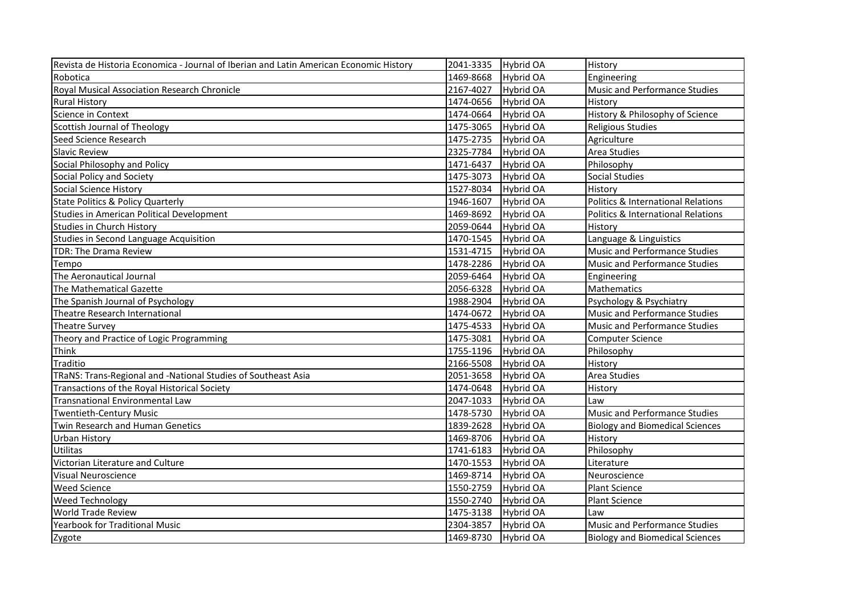| Revista de Historia Economica - Journal of Iberian and Latin American Economic History | 2041-3335 | Hybrid OA        | History                                       |
|----------------------------------------------------------------------------------------|-----------|------------------|-----------------------------------------------|
| Robotica                                                                               | 1469-8668 | Hybrid OA        | Engineering                                   |
| Royal Musical Association Research Chronicle                                           | 2167-4027 | Hybrid OA        | Music and Performance Studies                 |
| <b>Rural History</b>                                                                   | 1474-0656 | Hybrid OA        | History                                       |
| Science in Context                                                                     | 1474-0664 | Hybrid OA        | History & Philosophy of Science               |
| Scottish Journal of Theology                                                           | 1475-3065 | Hybrid OA        | <b>Religious Studies</b>                      |
| Seed Science Research                                                                  | 1475-2735 | Hybrid OA        | Agriculture                                   |
| <b>Slavic Review</b>                                                                   | 2325-7784 | Hybrid OA        | Area Studies                                  |
| Social Philosophy and Policy                                                           | 1471-6437 | Hybrid OA        | Philosophy                                    |
| Social Policy and Society                                                              | 1475-3073 | Hybrid OA        | <b>Social Studies</b>                         |
| <b>Social Science History</b>                                                          | 1527-8034 | Hybrid OA        | History                                       |
| <b>State Politics &amp; Policy Quarterly</b>                                           | 1946-1607 | Hybrid OA        | <b>Politics &amp; International Relations</b> |
| Studies in American Political Development                                              | 1469-8692 | Hybrid OA        | <b>Politics &amp; International Relations</b> |
| <b>Studies in Church History</b>                                                       | 2059-0644 | Hybrid OA        | History                                       |
| <b>Studies in Second Language Acquisition</b>                                          | 1470-1545 | Hybrid OA        | Language & Linguistics                        |
| TDR: The Drama Review                                                                  | 1531-4715 | Hybrid OA        | Music and Performance Studies                 |
| Tempo                                                                                  | 1478-2286 | Hybrid OA        | Music and Performance Studies                 |
| The Aeronautical Journal                                                               | 2059-6464 | Hybrid OA        | Engineering                                   |
| The Mathematical Gazette                                                               | 2056-6328 | Hybrid OA        | Mathematics                                   |
| The Spanish Journal of Psychology                                                      | 1988-2904 | Hybrid OA        | Psychology & Psychiatry                       |
| Theatre Research International                                                         | 1474-0672 | Hybrid OA        | Music and Performance Studies                 |
| <b>Theatre Survey</b>                                                                  | 1475-4533 | <b>Hybrid OA</b> | Music and Performance Studies                 |
| Theory and Practice of Logic Programming                                               | 1475-3081 | Hybrid OA        | <b>Computer Science</b>                       |
| Think                                                                                  | 1755-1196 | <b>Hybrid OA</b> | Philosophy                                    |
| Traditio                                                                               | 2166-5508 | Hybrid OA        | History                                       |
| TRaNS: Trans-Regional and -National Studies of Southeast Asia                          | 2051-3658 | Hybrid OA        | Area Studies                                  |
| Transactions of the Royal Historical Society                                           | 1474-0648 | <b>Hybrid OA</b> | History                                       |
| <b>Transnational Environmental Law</b>                                                 | 2047-1033 | <b>Hybrid OA</b> | Law                                           |
| <b>Twentieth-Century Music</b>                                                         | 1478-5730 | <b>Hybrid OA</b> | Music and Performance Studies                 |
| Twin Research and Human Genetics                                                       | 1839-2628 | Hybrid OA        | <b>Biology and Biomedical Sciences</b>        |
| <b>Urban History</b>                                                                   | 1469-8706 | Hybrid OA        | History                                       |
| <b>Utilitas</b>                                                                        | 1741-6183 | Hybrid OA        | Philosophy                                    |
| Victorian Literature and Culture                                                       | 1470-1553 | Hybrid OA        | Literature                                    |
| <b>Visual Neuroscience</b>                                                             | 1469-8714 | Hybrid OA        | Neuroscience                                  |
| <b>Weed Science</b>                                                                    | 1550-2759 | Hybrid OA        | <b>Plant Science</b>                          |
| <b>Weed Technology</b>                                                                 | 1550-2740 | Hybrid OA        | Plant Science                                 |
| <b>World Trade Review</b>                                                              | 1475-3138 | Hybrid OA        | Law                                           |
| Yearbook for Traditional Music                                                         | 2304-3857 | Hybrid OA        | Music and Performance Studies                 |
| Zygote                                                                                 | 1469-8730 | Hybrid OA        | <b>Biology and Biomedical Sciences</b>        |
|                                                                                        |           |                  |                                               |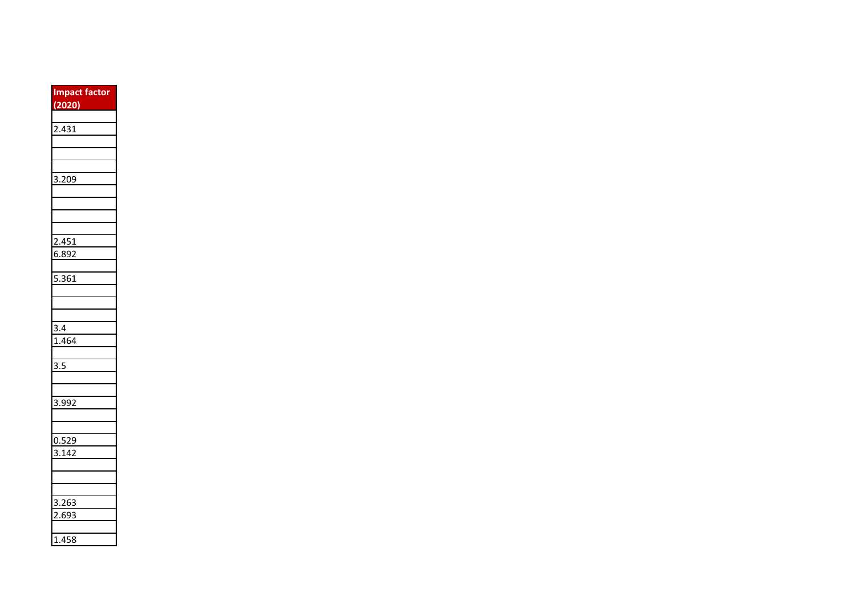| <b>Impact factor</b><br>(2020) |
|--------------------------------|
|                                |
| 2.431                          |
|                                |
|                                |
|                                |
| $\overline{3.209}$             |
|                                |
|                                |
|                                |
|                                |
| 2.451                          |
| 6.89<br>92                     |
|                                |
| 5.361                          |
|                                |
|                                |
| 3.4                            |
| .464<br>1                      |
|                                |
| 3.5                            |
|                                |
|                                |
| 3.992                          |
|                                |
|                                |
| 0.529                          |
| 3.142                          |
|                                |
|                                |
|                                |
| 3.263                          |
| 69<br>Ŝ                        |
|                                |
| .458<br>l                      |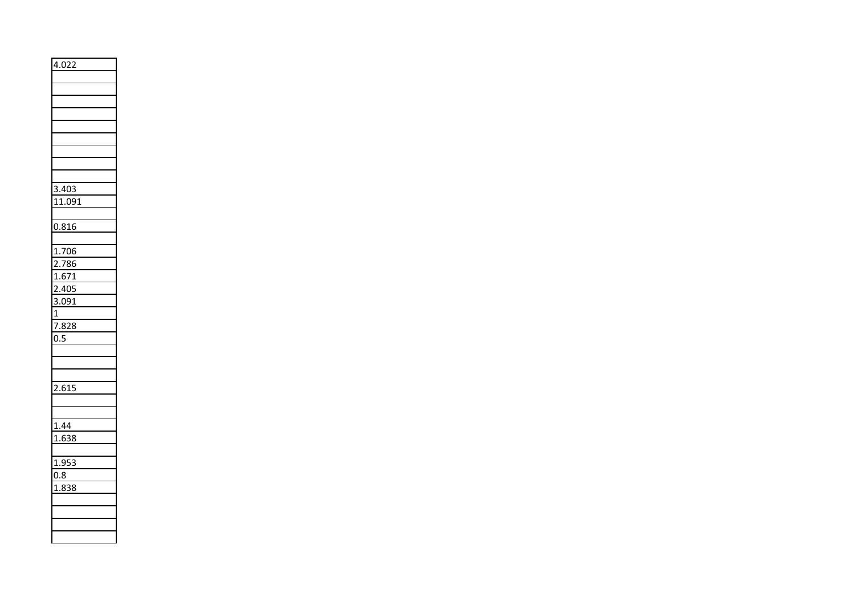| 4.022              |
|--------------------|
|                    |
|                    |
|                    |
|                    |
|                    |
|                    |
|                    |
|                    |
|                    |
| 3.403              |
| 11.091             |
|                    |
| 0.816              |
|                    |
| 1.706              |
| 2.786              |
| 1.671              |
| 2.405              |
| 3.091              |
| 1                  |
| $7.\overline{828}$ |
| 0.5                |
|                    |
|                    |
|                    |
| 2.615              |
|                    |
|                    |
| 1.44               |
| 1.638              |
|                    |
| 1.953              |
| 0.8                |
| $1.\overline{838}$ |
|                    |
|                    |
|                    |
|                    |
|                    |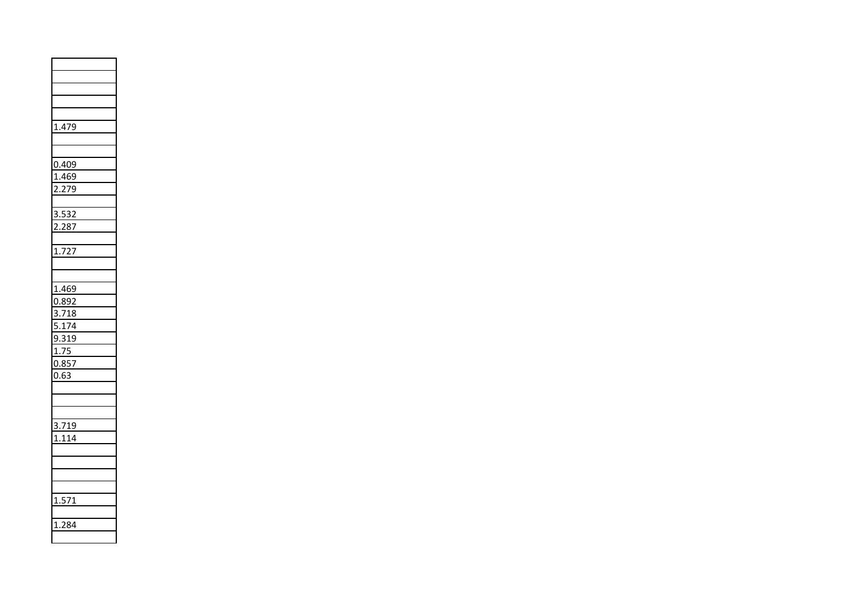| 1.479                 |  |
|-----------------------|--|
|                       |  |
|                       |  |
| 0.409                 |  |
| 1.469                 |  |
| 2.279                 |  |
|                       |  |
| 3.532<br>2.287        |  |
|                       |  |
|                       |  |
| $\overline{1.727}$    |  |
|                       |  |
|                       |  |
| 1.469                 |  |
| 0.892                 |  |
| $\frac{3.718}{5.174}$ |  |
|                       |  |
| 9.319                 |  |
| <u>1.75</u>           |  |
| 0.857                 |  |
| 0.63                  |  |
|                       |  |
|                       |  |
|                       |  |
| 3.719                 |  |
| 1.114                 |  |
|                       |  |
|                       |  |
|                       |  |
| 1.571                 |  |
|                       |  |
| 1.284                 |  |
|                       |  |
|                       |  |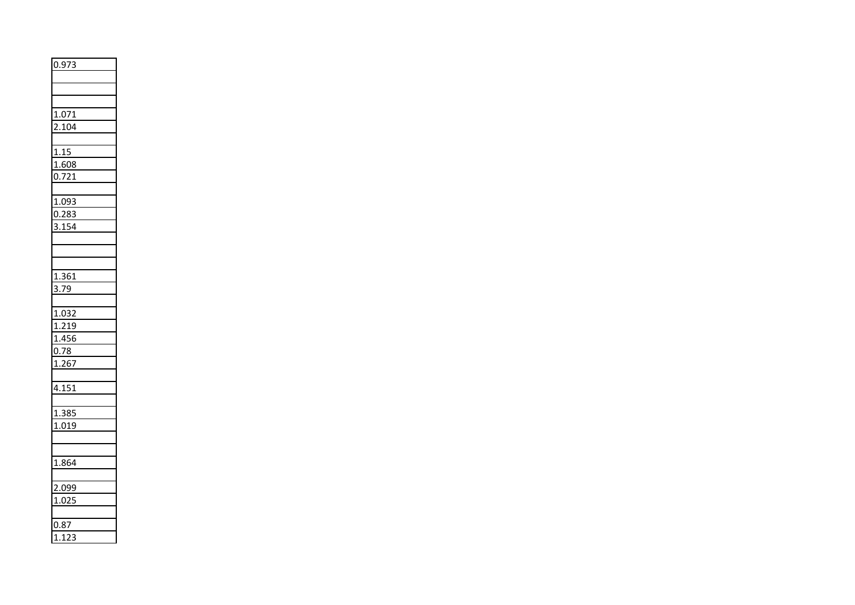| 0.973                |  |
|----------------------|--|
|                      |  |
|                      |  |
|                      |  |
| 1.071                |  |
| 2.104                |  |
|                      |  |
| 1.15                 |  |
| 1.608                |  |
| 0.721                |  |
|                      |  |
| 1.093                |  |
| 0.283                |  |
| 3.154                |  |
|                      |  |
|                      |  |
|                      |  |
| 1.361                |  |
| $\frac{1}{3.79}$     |  |
|                      |  |
| 1.032                |  |
| <u>1.219</u>         |  |
| $\frac{1.456}{0.78}$ |  |
|                      |  |
| 1.267                |  |
|                      |  |
| 4.151                |  |
|                      |  |
| 1.385                |  |
| 1.019                |  |
|                      |  |
|                      |  |
| 1.864                |  |
|                      |  |
| 2.099                |  |
| 1.025                |  |
|                      |  |
| 0.87                 |  |
| 1.123                |  |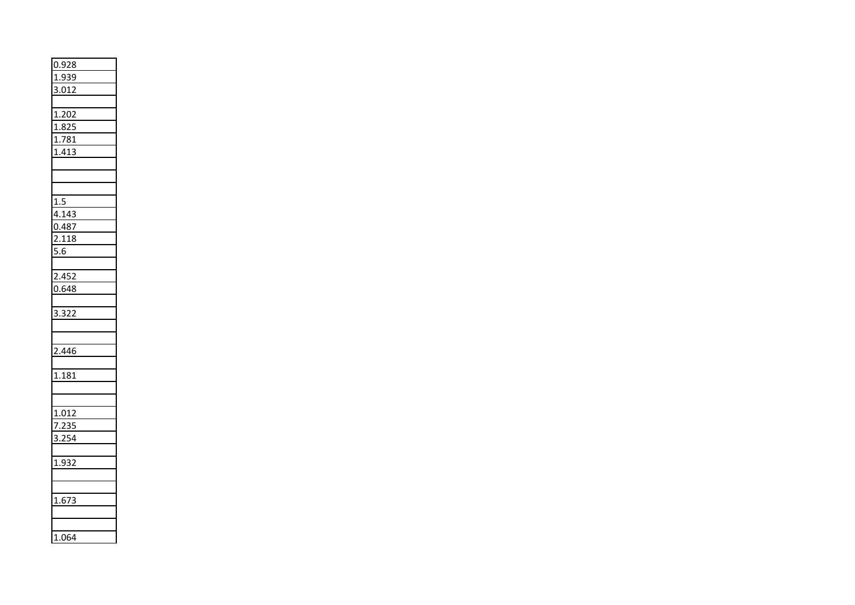| 0.928             |  |
|-------------------|--|
| 1.939             |  |
| 3.012             |  |
|                   |  |
| 1.202             |  |
| $\frac{1.825}{ }$ |  |
| 1.781             |  |
| 1.413             |  |
|                   |  |
|                   |  |
|                   |  |
| 1.5               |  |
| 4.143             |  |
| 0.487             |  |
| 2.118             |  |
| $\overline{5.6}$  |  |
|                   |  |
| 2.452             |  |
| 0.648             |  |
|                   |  |
| 3.322             |  |
|                   |  |
|                   |  |
| 2.446             |  |
|                   |  |
| 1.181             |  |
|                   |  |
|                   |  |
| 1.012             |  |
| 7.235             |  |
| 3.254             |  |
|                   |  |
| 1.932             |  |
|                   |  |
|                   |  |
| 1.673             |  |
|                   |  |
|                   |  |
| 1.064             |  |
|                   |  |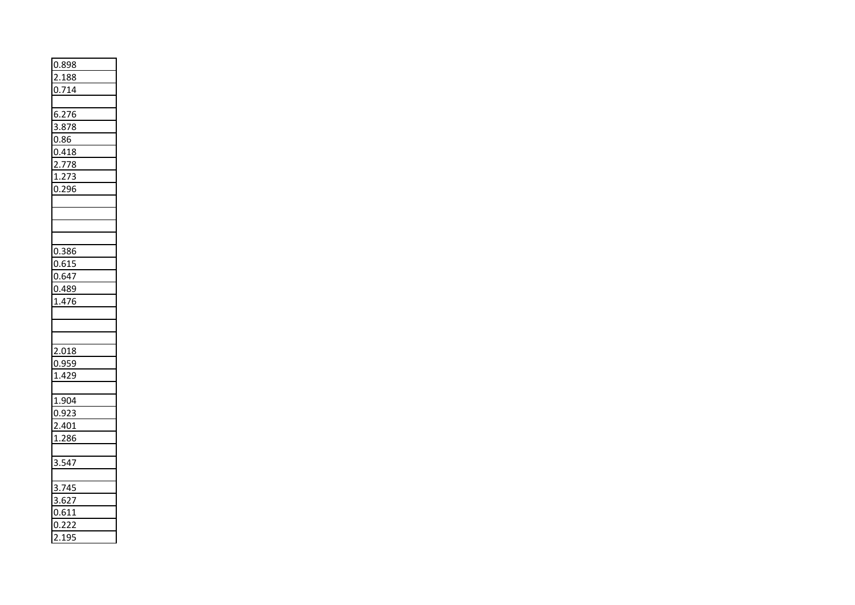| 0.898                 |  |
|-----------------------|--|
| <u>2.188</u>          |  |
| 0.714                 |  |
|                       |  |
| $\frac{6.276}{3.878}$ |  |
|                       |  |
| 0.86                  |  |
| 0.418                 |  |
| 2.778                 |  |
| 1.273                 |  |
| 0.296                 |  |
|                       |  |
|                       |  |
|                       |  |
|                       |  |
| 0.386                 |  |
| 0.615                 |  |
| 0.647                 |  |
| 0.489                 |  |
| 1.476                 |  |
|                       |  |
|                       |  |
|                       |  |
| 2.018                 |  |
| 0.959                 |  |
| 1.429                 |  |
|                       |  |
| 1.904                 |  |
| 0.923                 |  |
| 2.401                 |  |
| 1.286                 |  |
|                       |  |
| 3.547                 |  |
|                       |  |
| 3.745                 |  |
| 3.627                 |  |
| $\frac{34}{0.611}$    |  |
| 0.222                 |  |
| 2.195                 |  |
|                       |  |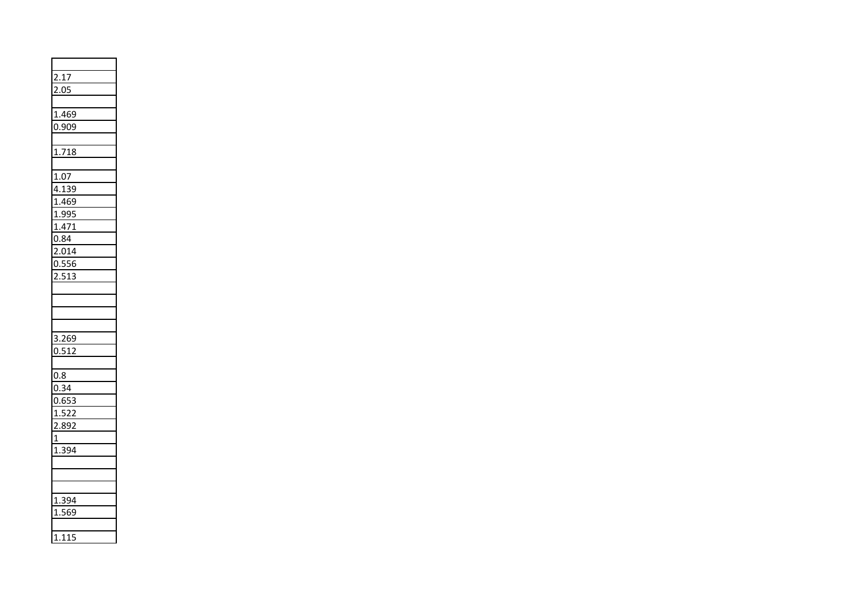| 2.17                    |  |
|-------------------------|--|
| 2.05                    |  |
|                         |  |
| 1.469                   |  |
| 0.909                   |  |
|                         |  |
| 1.718                   |  |
|                         |  |
| 1.07                    |  |
| 4.139                   |  |
|                         |  |
|                         |  |
| 1.469<br>1.995<br>1.471 |  |
| 0.84                    |  |
| 2.014                   |  |
| 0.556                   |  |
| 2.513                   |  |
|                         |  |
|                         |  |
|                         |  |
|                         |  |
| $\frac{1}{3.269}$       |  |
| 0.512                   |  |
|                         |  |
| 0.8                     |  |
| 0.34                    |  |
| 0.653                   |  |
| 1.522                   |  |
| 2.892                   |  |
| $\overline{1}$          |  |
| 1.394                   |  |
|                         |  |
|                         |  |
|                         |  |
| <u>1.394</u>            |  |
| 1.569                   |  |
|                         |  |
| 1.115                   |  |
|                         |  |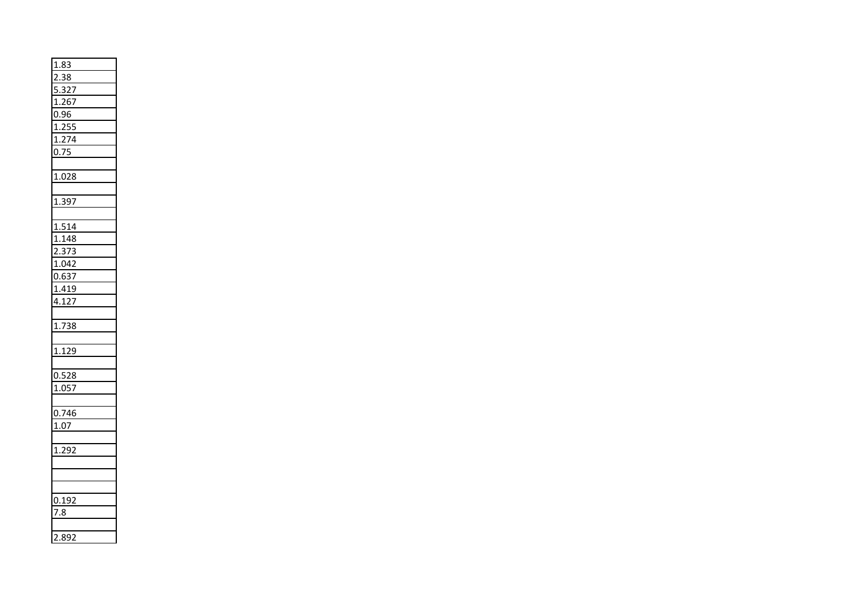| 1.83                           |
|--------------------------------|
| 2.38                           |
|                                |
| 5.327<br>1.267                 |
| 0.96                           |
| 1.255                          |
| 1.274                          |
| 0.75                           |
|                                |
| 1.028                          |
|                                |
| 1.397                          |
|                                |
| $\frac{1.514}{1.148}$<br>2.373 |
|                                |
|                                |
| 1.042                          |
| 0.637                          |
| 1.419                          |
| 4.127                          |
|                                |
| 1.738                          |
|                                |
| 1.129                          |
|                                |
| $\frac{0.528}{1.057}$          |
|                                |
|                                |
| 0.746                          |
| 1.07                           |
|                                |
| 1.292                          |
|                                |
|                                |
|                                |
| 0.192                          |
| 7.8                            |
|                                |
| 2.892                          |
|                                |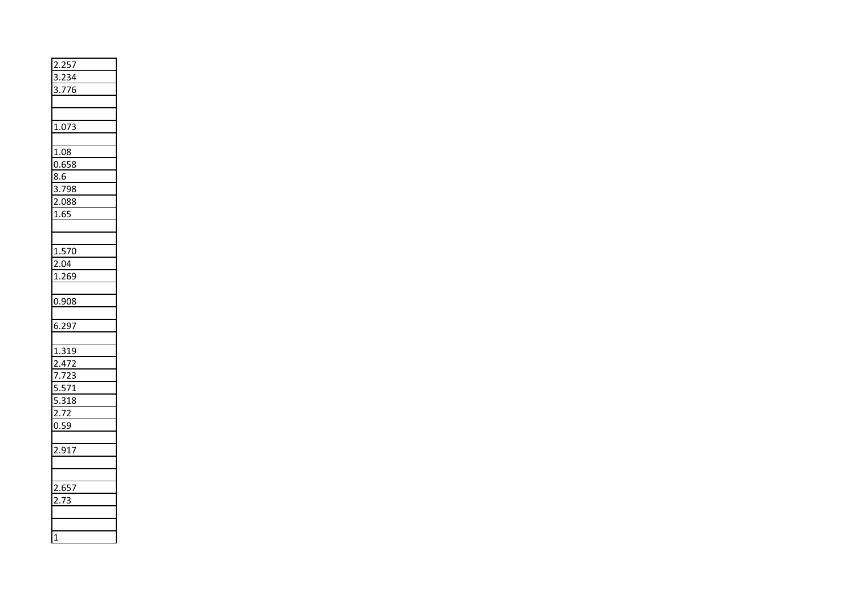| 2.257                                             |
|---------------------------------------------------|
| 3.234                                             |
| $\frac{3.776}{5}$                                 |
|                                                   |
|                                                   |
| 1.073                                             |
|                                                   |
| 1.08                                              |
| 0.658                                             |
| 8.6                                               |
| 3.798                                             |
| 2.088                                             |
| 1.65                                              |
|                                                   |
|                                                   |
| 1.570                                             |
| 2.04                                              |
| 1.269                                             |
|                                                   |
| 0.908                                             |
|                                                   |
| 6.297                                             |
|                                                   |
| 1.319<br>2.472<br>7.723<br>5.571<br>5.318<br>2.72 |
|                                                   |
|                                                   |
|                                                   |
|                                                   |
|                                                   |
| 0.59                                              |
|                                                   |
| 2.917                                             |
|                                                   |
|                                                   |
| $\frac{2.657}{2.73}$                              |
|                                                   |
|                                                   |
|                                                   |
| $\mathbf{1}$                                      |
|                                                   |